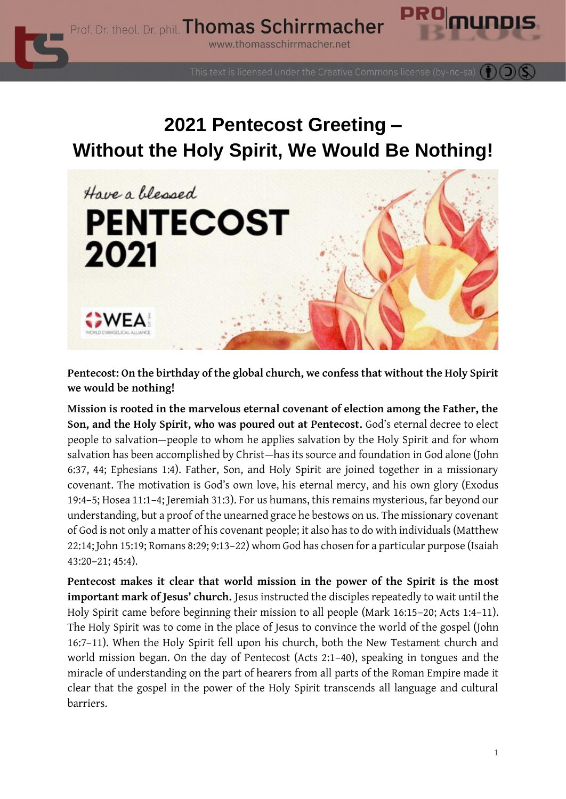

This text is licensed under the Creative Commons license (by-nc-sa)

## **2021 Pentecost Greeting – Without the Holy Spirit, We Would Be Nothing!**



**Pentecost: On the birthday of the global church, we confess that without the Holy Spirit we would be nothing!**

**Mission is rooted in the marvelous eternal covenant of election among the Father, the Son, and the Holy Spirit, who was poured out at Pentecost.** God's eternal decree to elect people to salvation—people to whom he applies salvation by the Holy Spirit and for whom salvation has been accomplished by Christ—has its source and foundation in God alone (John 6:37, 44; Ephesians 1:4). Father, Son, and Holy Spirit are joined together in a missionary covenant. The motivation is God's own love, his eternal mercy, and his own glory (Exodus 19:4–5; Hosea 11:1–4; Jeremiah 31:3). For us humans, this remains mysterious, far beyond our understanding, but a proof of the unearned grace he bestows on us. The missionary covenant of God is not only a matter of his covenant people; it also has to do with individuals (Matthew 22:14; John 15:19; Romans 8:29; 9:13–22) whom God has chosen for a particular purpose (Isaiah 43:20–21; 45:4).

**Pentecost makes it clear that world mission in the power of the Spirit is the most important mark of Jesus' church.** Jesus instructed the disciples repeatedly to wait until the Holy Spirit came before beginning their mission to all people (Mark 16:15–20; Acts 1:4–11). The Holy Spirit was to come in the place of Jesus to convince the world of the gospel (John 16:7–11). When the Holy Spirit fell upon his church, both the New Testament church and world mission began. On the day of Pentecost (Acts 2:1–40), speaking in tongues and the miracle of understanding on the part of hearers from all parts of the Roman Empire made it clear that the gospel in the power of the Holy Spirit transcends all language and cultural barriers.